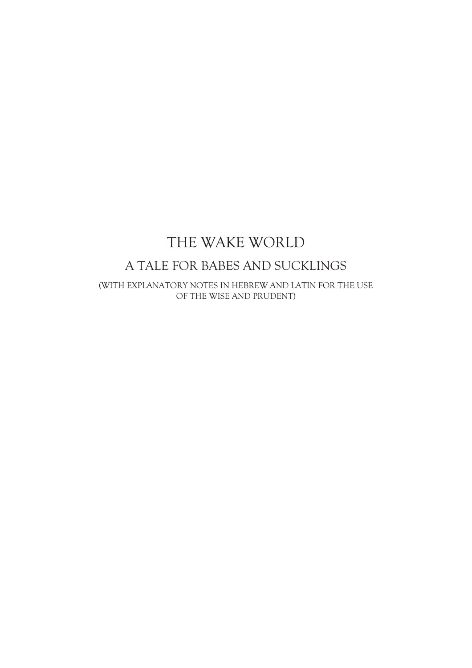## A TALE FOR BABES AND SUCKLINGS

(WITH EXPLANATORY NOTES IN HEBREW AND LATIN FOR THE USE OF THE WISE AND PRUDENT)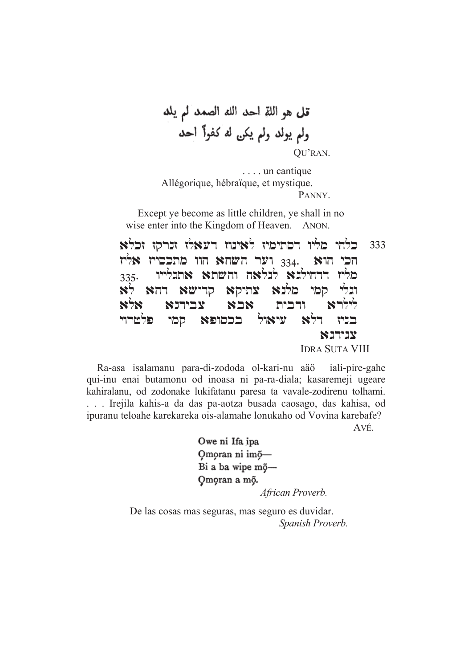... un cantique Allégorique, hébraïque, et mystique. PANNY.

Except ye become as little children, ye shall in no wise enter into the Kingdom of Heaven.—ANON.

כלחי מליו רכתימיז לאינוז רעאלז זנרקז זכלא 333 וער השחא חוו מתכסייז אליז  $_{\rm 334}$ הכי הוא דרחילגא לגלאה והשתא אתגלייו מליז  $335.$ קדישא צתיקא קמי  $85$   $877$ מלנא וגלי XYX  $x$ בירנ $x$ بنوابهم  $828$ ורבית קמי עיאול בכסופא דלא הלמור בניז  $x$ **IDRA SUTA VIII** 

Ra-asa isalamanu para-di-zododa ol-kari-nu aäö iali-pire-gahe qui-inu enai butamonu od inoasa ni pa-ra-diala; kasaremeji ugeare kahiralanu, od zodonake lukifatanu paresa ta vavale-zodirenu tolhami. ... Irejila kahis-a da das pa-aotza busada caosago, das kahisa, od ipuranu teloahe karekareka ois-alamahe lonukaho od Vovina karebafe?

AVÉ.

Owe ni Ifa ipa Omoran ni imõ-Bi a ba wipe mõ-Qmoran a mõ.

African Proverb.

De las cosas mas seguras, mas seguro es duvidar. Spanish Proverb.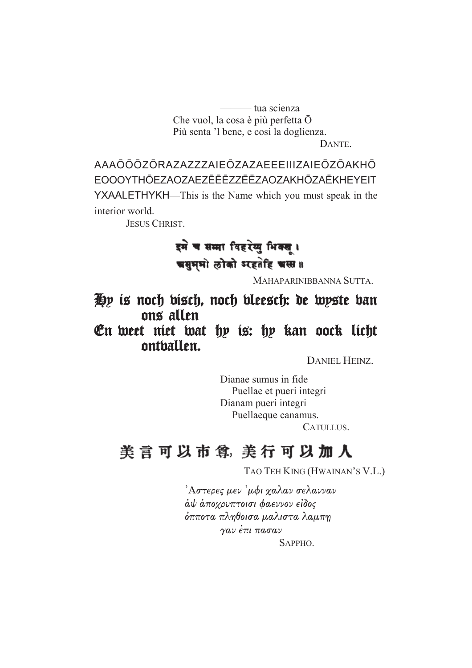— tua scienza Che vuol. la cosa è più perfetta Ō Più senta 'l bene, e così la doglienza. DANTE.

AAAŌŌŌZŌRAZAZZZAIEŌZAZAEEEIIIZAIEŌZŌAKHŌ FOOOYTHŌFZAOZAFZĒĒĒZZĒĒZAOZAKHŌZAĒKHEYEIT YXAALETHYKH—This is the Name which you must speak in the

interior world

**JESUS CHRIST.** 

## इमे च सम्मा विहरेयु भिक्लू। बसुन्नो लोको ब्रहतेहि बस्त ॥

MAHAPARINIBBANNA SUTTA.

Hy is noch bisch, noch bleesch: de wyste ban ons allen

En weet niet wat hy is: hy kan oock licht onthallen.

**DANIEL HEINZ.** 

Dianae sumus in fide Puellae et pueri integri Dianam pueri integri Puellaeque canamus. CATULLUS.

# 美言可以市尊差行可以加人

TAO TEH KING (HWAINAN'S V.L.)

Αστερες μεν 'μφι χαλαν σελανναν'  $\dot{a}\psi$  αποχρυπτοισι φαεννον είδος  $\delta$ πποτα πληθοισα μαλιστα λαμπη  $\gamma$ αν έπι πασαν **SAPPHO**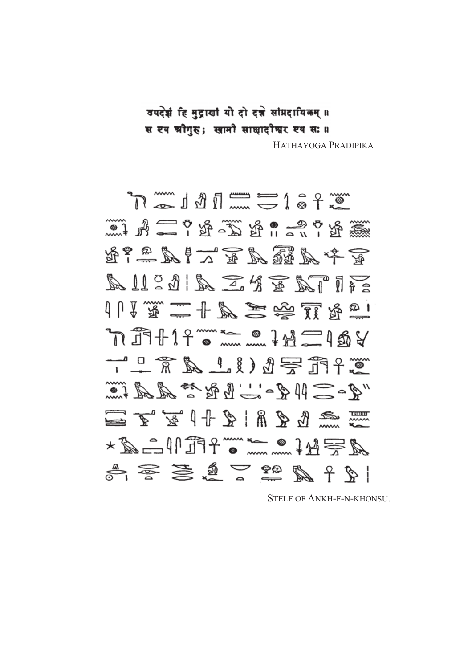## उपदेशं हि मुद्राखां यो दो दन्ने सांप्रदायिकम् ॥ स रव श्रीगुरु; खानी साझादीश्वर रव सः ॥ HATHAYOGA PRADIPIKA

Teleter  $\mathcal{L} \neq \mathcal{L} \text{ and } \mathcal{L} \subseteq \mathcal{L} \text{ and } \mathcal{L} \subseteq \mathcal{L} \text{ and } \mathcal{L} \subseteq \mathcal{L}$  $\mathbb{Z}^n \boxtimes \mathbb{Z}^n \boxtimes \mathbb{Z}^n \boxtimes \mathbb{Z}^n$ 10 第二十九点增加的 h fitt? m m 1H=IAY  $\mathscr{L}\text{-}{\textstyle\sum}\mu\mathscr{L}\text{-}{\textstyle\sum}\mu\mathscr{L}\text{-}{\textstyle\sum}\mu\mathscr{L}$  $\mathcal{A} \equiv M \quad \text{and} \quad \mathcal{A} \equiv \mathbb{I}$ 

**STELE OF ANKH-F-N-KHONSU.**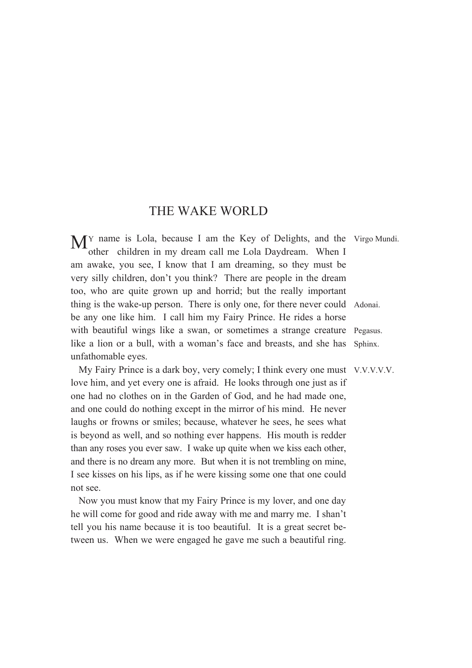M<sup>Y</sup> name is Lola, because I am the Key of Delights, and the Virgo Mundi. other children in my dream call me Lola Daydream. When I am awake, you see, I know that I am dreaming, so they must be very silly children, don't you think? There are people in the dream too, who are quite grown up and horrid; but the really important thing is the wake-up person. There is only one, for there never could Adonai. be any one like him. I call him my Fairy Prince. He rides a horse with beautiful wings like a swan, or sometimes a strange creature Pegasus. like a lion or a bull, with a woman's face and breasts, and she has unfathomable eyes.

My Fairy Prince is a dark boy, very comely; I think every one must V.V.V.V.V. love him, and yet every one is afraid. He looks through one just as if one had no clothes on in the Garden of God, and he had made one, and one could do nothing except in the mirror of his mind. He never laughs or frowns or smiles; because, whatever he sees, he sees what is beyond as well, and so nothing ever happens. His mouth is redder than any roses you ever saw. I wake up quite when we kiss each other, and there is no dream any more. But when it is not trembling on mine, I see kisses on his lips, as if he were kissing some one that one could not see.

Now you must know that my Fairy Prince is my lover, and one day he will come for good and ride away with me and marry me. I shan't tell you his name because it is too beautiful. It is a great secret between us. When we were engaged he gave me such a beautiful ring.

Sphinx.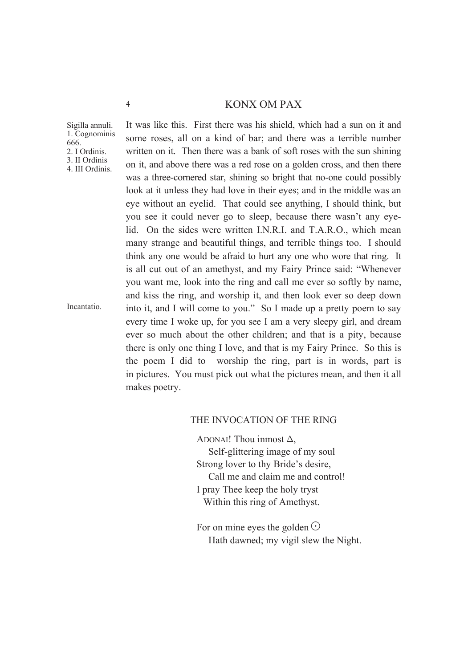Sigilla annuli. 1. Cognominis 666. 2. I Ordinis. 3. II Ordinis 4. III Ordinis.

Incantatio.

It was like this. First there was his shield, which had a sun on it and some roses, all on a kind of bar; and there was a terrible number written on it. Then there was a bank of soft roses with the sun shining on it, and above there was a red rose on a golden cross, and then there was a three-cornered star, shining so bright that no-one could possibly look at it unless they had love in their eyes; and in the middle was an eye without an eyelid. That could see anything, I should think, but you see it could never go to sleep, because there wasn't any eyelid. On the sides were written I.N.R.I. and T.A.R.O., which mean many strange and beautiful things, and terrible things too. I should think any one would be afraid to hurt any one who wore that ring. It is all cut out of an amethyst, and my Fairy Prince said: "Whenever you want me, look into the ring and call me ever so softly by name. and kiss the ring, and worship it, and then look ever so deep down into it, and I will come to you." So I made up a pretty poem to say every time I woke up, for you see I am a very sleepy girl, and dream ever so much about the other children; and that is a pity, because there is only one thing I love, and that is my Fairy Prince. So this is the poem I did to worship the ring, part is in words, part is in pictures. You must pick out what the pictures mean, and then it all makes poetry.

#### THE INVOCATION OF THE RING

ADONAI! Thou inmost  $\Delta$ , Self-glittering image of my soul Strong lover to thy Bride's desire. Call me and claim me and control! I pray Thee keep the holy tryst Within this ring of Amethyst.

For on mine eves the golden  $\odot$ Hath dawned; my vigil slew the Night.

 $\overline{4}$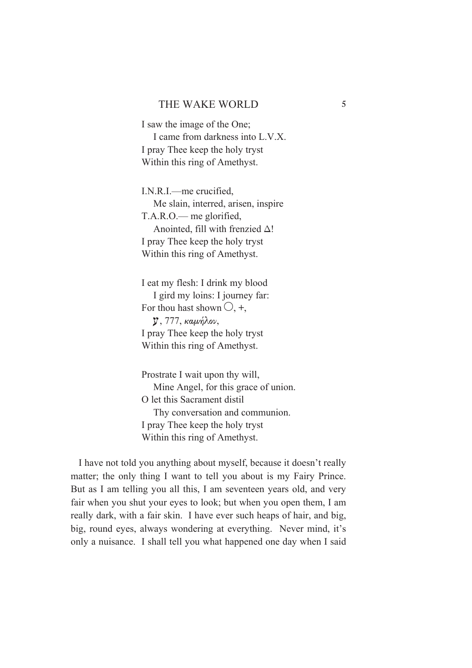I saw the image of the One; I came from darkness into L.V.X. I pray Thee keep the holy tryst Within this ring of Amethyst.

I.N.R.I.—me crucified,

Me slain, interred, arisen, inspire T.A.R.O. - me glorified, Anointed, fill with frenzied  $\Delta$ ! I pray Thee keep the holy tryst Within this ring of Amethyst.

I eat my flesh: I drink my blood I gird my loins: I journey far: For thou hast shown  $\bigcirc$ , +,  $y$ , 777, καμήλον, I pray Thee keep the holy tryst Within this ring of Amethyst.

Prostrate I wait upon thy will, Mine Angel, for this grace of union. O let this Sacrament distil Thy conversation and communion. I pray Thee keep the holy tryst Within this ring of Amethyst.

I have not told you anything about myself, because it doesn't really matter; the only thing I want to tell you about is my Fairy Prince. But as I am telling you all this, I am seventeen years old, and very fair when you shut your eyes to look; but when you open them, I am really dark, with a fair skin. I have ever such heaps of hair, and big, big, round eyes, always wondering at everything. Never mind, it's only a nuisance. I shall tell you what happened one day when I said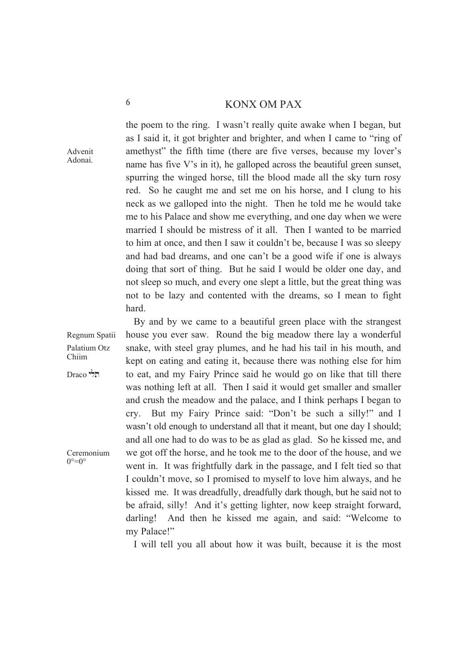the poem to the ring. I wasn't really quite awake when I began, but as I said it, it got brighter and brighter, and when I came to "ring of amethyst" the fifth time (there are five verses, because my lover's name has five V's in it), he galloped across the beautiful green sunset, spurring the winged horse, till the blood made all the sky turn rosy red. So he caught me and set me on his horse, and I clung to his neck as we galloped into the night. Then he told me he would take me to his Palace and show me everything, and one day when we were married I should be mistress of it all. Then I wanted to be married to him at once, and then I saw it couldn't be, because I was so sleepy and had bad dreams, and one can't be a good wife if one is always doing that sort of thing. But he said I would be older one day, and not sleep so much, and every one slept a little, but the great thing was not to be lazy and contented with the dreams, so I mean to fight hard.

By and by we came to a beautiful green place with the strangest house you ever saw. Round the big meadow there lay a wonderful Regnum Spatii snake, with steel gray plumes, and he had his tail in his mouth, and Palatium Otz kept on eating and eating it, because there was nothing else for him to eat, and my Fairy Prince said he would go on like that till there was nothing left at all. Then I said it would get smaller and smaller and crush the meadow and the palace, and I think perhaps I began to But my Fairy Prince said: "Don't be such a silly!" and I cry. wasn't old enough to understand all that it meant, but one day I should; and all one had to do was to be as glad as glad. So he kissed me, and we got off the horse, and he took me to the door of the house, and we Ceremonium went in. It was frightfully dark in the passage, and I felt tied so that I couldn't move, so I promised to myself to love him always, and he kissed me. It was dreadfully, dreadfully dark though, but he said not to be afraid, silly! And it's getting lighter, now keep straight forward, darling! And then he kissed me again, and said: "Welcome to my Palace!"

I will tell you all about how it was built, because it is the most

Advenit Adonai.

Chiim

 $0^{\circ}=0^{\circ}$ 

תלי Draco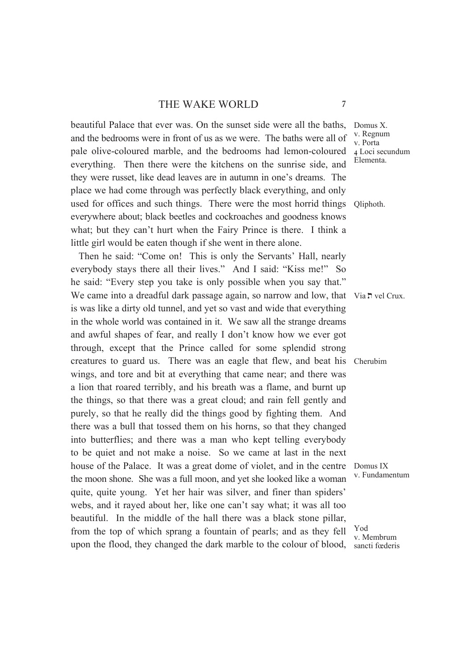beautiful Palace that ever was. On the sunset side were all the baths. and the bedrooms were in front of us as we were. The baths were all of pale olive-coloured marble, and the bedrooms had lemon-coloured everything. Then there were the kitchens on the sunrise side, and they were russet, like dead leaves are in autumn in one's dreams. The place we had come through was perfectly black everything, and only used for offices and such things. There were the most horrid things Qliphoth. everywhere about; black beetles and cockroaches and goodness knows what; but they can't hurt when the Fairy Prince is there. I think a little girl would be eaten though if she went in there alone.

Then he said: "Come on! This is only the Servants' Hall, nearly everybody stays there all their lives." And I said: "Kiss me!" So he said: "Every step you take is only possible when you say that." We came into a dreadful dark passage again, so narrow and low, that Via n vel Crux. is was like a dirty old tunnel, and yet so vast and wide that everything in the whole world was contained in it. We saw all the strange dreams and awful shapes of fear, and really I don't know how we ever got through, except that the Prince called for some splendid strong creatures to guard us. There was an eagle that flew, and beat his Cherubim wings, and tore and bit at everything that came near; and there was a lion that roared terribly, and his breath was a flame, and burnt up the things, so that there was a great cloud; and rain fell gently and purely, so that he really did the things good by fighting them. And there was a bull that tossed them on his horns, so that they changed into butterflies; and there was a man who kept telling everybody to be quiet and not make a noise. So we came at last in the next house of the Palace. It was a great dome of violet, and in the centre the moon shone. She was a full moon, and yet she looked like a woman quite, quite young. Yet her hair was silver, and finer than spiders' webs, and it rayed about her, like one can't say what; it was all too beautiful. In the middle of the hall there was a black stone pillar, from the top of which sprang a fountain of pearls; and as they fell upon the flood, they changed the dark marble to the colour of blood, sancti federis

Domus X. v. Regnum v. Porta 4 Loci secundum Elementa.

Domus IX v. Fundamentum

 $Vod$ v Membrum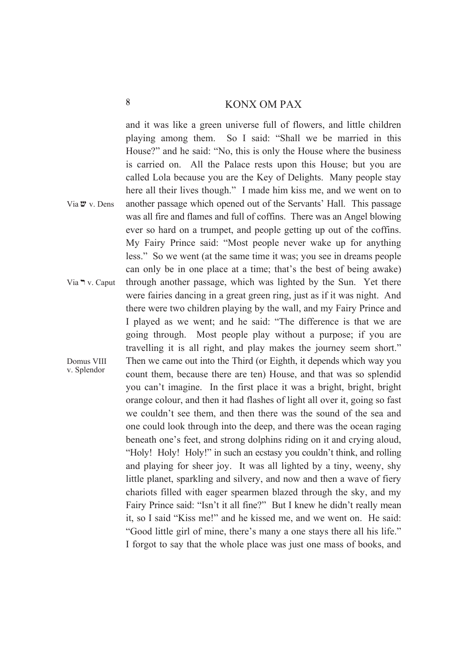and it was like a green universe full of flowers, and little children playing among them. So I said: "Shall we be married in this House?" and he said: "No, this is only the House where the business is carried on. All the Palace rests upon this House; but you are called Lola because you are the Key of Delights. Many people stay here all their lives though." I made him kiss me, and we went on to another passage which opened out of the Servants' Hall. This passage Via  $\mathbf{w}$  v. Dens was all fire and flames and full of coffins. There was an Angel blowing ever so hard on a trumpet, and people getting up out of the coffins. My Fairy Prince said: "Most people never wake up for anything less." So we went (at the same time it was; you see in dreams people can only be in one place at a time; that's the best of being awake) through another passage, which was lighted by the Sun. Yet there Via 7 v. Caput were fairies dancing in a great green ring, just as if it was night. And there were two children playing by the wall, and my Fairy Prince and I played as we went; and he said: "The difference is that we are going through. Most people play without a purpose; if you are travelling it is all right, and play makes the journey seem short." Then we came out into the Third (or Eighth, it depends which way you Domus VIII v. Splendor count them, because there are ten) House, and that was so splendid you can't imagine. In the first place it was a bright, bright, bright orange colour, and then it had flashes of light all over it, going so fast we couldn't see them, and then there was the sound of the sea and one could look through into the deep, and there was the ocean raging beneath one's feet, and strong dolphins riding on it and crying aloud, "Holy! Holy! Holy!" in such an ecstasy you couldn't think, and rolling and playing for sheer joy. It was all lighted by a tiny, weeny, shy little planet, sparkling and silvery, and now and then a wave of fiery chariots filled with eager spearmen blazed through the sky, and my Fairy Prince said: "Isn't it all fine?" But I knew he didn't really mean it, so I said "Kiss me!" and he kissed me, and we went on. He said: "Good little girl of mine, there's many a one stays there all his life." I forgot to say that the whole place was just one mass of books, and

8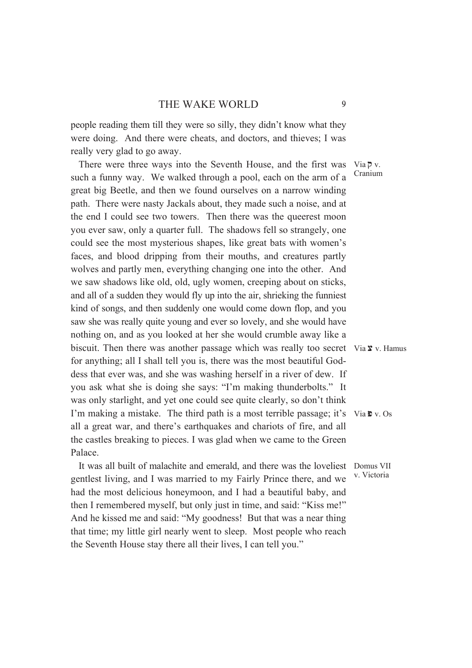people reading them till they were so silly, they didn't know what they were doing. And there were cheats, and doctors, and thieves: I was really very glad to go away.

There were three ways into the Seventh House, and the first was such a funny way. We walked through a pool, each on the arm of a great big Beetle, and then we found ourselves on a narrow winding path. There were nasty Jackals about, they made such a noise, and at the end I could see two towers. Then there was the queerest moon you ever saw, only a quarter full. The shadows fell so strangely, one could see the most mysterious shapes, like great bats with women's faces, and blood dripping from their mouths, and creatures partly wolves and partly men, everything changing one into the other. And we saw shadows like old, old, ugly women, creeping about on sticks, and all of a sudden they would fly up into the air, shrieking the funniest kind of songs, and then suddenly one would come down flop, and you saw she was really quite young and ever so lovely, and she would have nothing on, and as you looked at her she would crumble away like a biscuit. Then there was another passage which was really too secret for anything; all I shall tell you is, there was the most beautiful Goddess that ever was, and she was washing herself in a river of dew. If you ask what she is doing she says: "I'm making thunderbolts." It was only starlight, and yet one could see quite clearly, so don't think I'm making a mistake. The third path is a most terrible passage; it's all a great war, and there's earthquakes and chariots of fire, and all the castles breaking to pieces. I was glad when we came to the Green Palace

It was all built of malachite and emerald, and there was the loveliest gentlest living, and I was married to my Fairly Prince there, and we had the most delicious honeymoon, and I had a beautiful baby, and then I remembered myself, but only just in time, and said: "Kiss me!" And he kissed me and said: "My goodness! But that was a near thing that time; my little girl nearly went to sleep. Most people who reach the Seventh House stay there all their lives, I can tell you."

Via  $\nabla v$ . Cranium

Via **Y** v. Hamus

 $Via \triangleright v OS$ 

Domus VII v. Victoria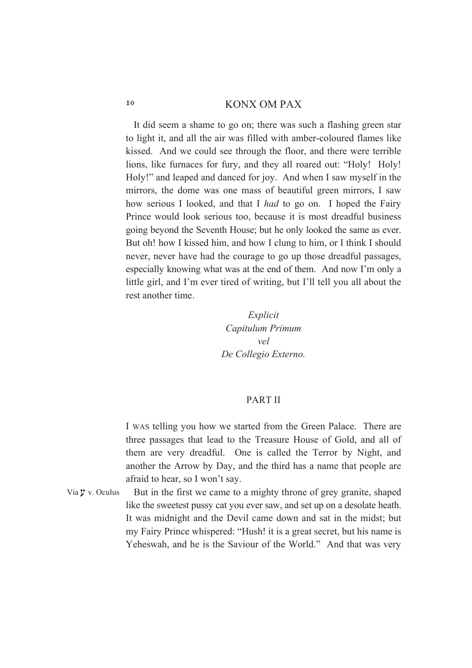It did seem a shame to go on; there was such a flashing green star to light it, and all the air was filled with amber-coloured flames like kissed. And we could see through the floor, and there were terrible lions, like furnaces for fury, and they all roared out: "Holy! Holy! Holy!" and leaped and danced for joy. And when I saw myself in the mirrors, the dome was one mass of beautiful green mirrors, I saw how serious I looked, and that I *had* to go on. I hoped the Fairy Prince would look serious too, because it is most dreadful business going beyond the Seventh House; but he only looked the same as ever. But oh! how I kissed him, and how I clung to him, or I think I should never, never have had the courage to go up those dreadful passages, especially knowing what was at the end of them. And now I'm only a little girl, and I'm ever tired of writing, but I'll tell you all about the rest another time.

> Explicit Capitulum Primum vel De Collegio Externo.

#### **PART II**

I WAS telling you how we started from the Green Palace. There are three passages that lead to the Treasure House of Gold, and all of them are very dreadful. One is called the Terror by Night, and another the Arrow by Day, and the third has a name that people are afraid to hear, so I won't say.

But in the first we came to a mighty throne of grey granite, shaped Via V v. Oculus like the sweetest pussy cat you ever saw, and set up on a desolate heath. It was midnight and the Devil came down and sat in the midst; but my Fairy Prince whispered: "Hush! it is a great secret, but his name is Yeheswah, and he is the Saviour of the World." And that was very

 $I<sub>0</sub>$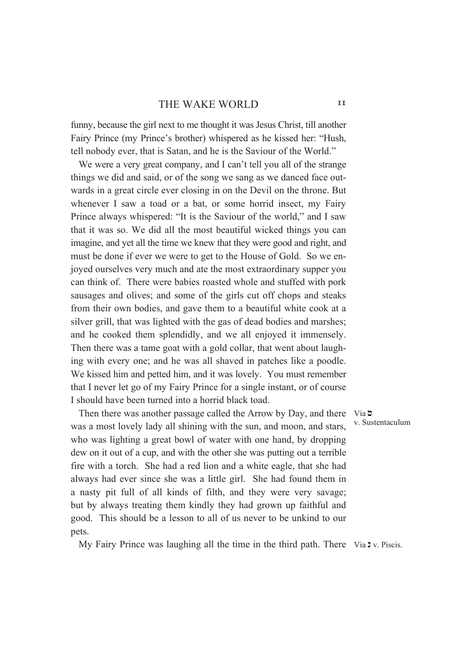funny, because the girl next to me thought it was Jesus Christ, till another Fairy Prince (my Prince's brother) whispered as he kissed her: "Hush, tell nobody ever, that is Satan, and he is the Saviour of the World."

We were a very great company, and I can't tell you all of the strange things we did and said, or of the song we sang as we danced face outwards in a great circle ever closing in on the Devil on the throne. But whenever I saw a toad or a bat, or some horrid insect, my Fairy Prince always whispered: "It is the Saviour of the world," and I saw that it was so. We did all the most beautiful wicked things you can imagine, and yet all the time we knew that they were good and right, and must be done if ever we were to get to the House of Gold. So we enjoyed ourselves very much and ate the most extraordinary supper you can think of. There were babies roasted whole and stuffed with pork sausages and olives; and some of the girls cut off chops and steaks from their own bodies, and gave them to a beautiful white cook at a silver grill, that was lighted with the gas of dead bodies and marshes; and he cooked them splendidly, and we all enjoyed it immensely. Then there was a tame goat with a gold collar, that went about laughing with every one; and he was all shaved in patches like a poodle. We kissed him and petted him, and it was lovely. You must remember that I never let go of my Fairy Prince for a single instant, or of course I should have been turned into a horrid black toad.

Then there was another passage called the Arrow by Day, and there was a most lovely lady all shining with the sun, and moon, and stars, who was lighting a great bowl of water with one hand, by dropping dew on it out of a cup, and with the other she was putting out a terrible fire with a torch. She had a red lion and a white eagle, that she had always had ever since she was a little girl. She had found them in a nasty pit full of all kinds of filth, and they were very savage; but by always treating them kindly they had grown up faithful and good. This should be a lesson to all of us never to be unkind to our pets.

 $V$ ia  $\Box$ v. Sustentaculum

My Fairy Prince was laughing all the time in the third path. There Via Jv. Piscis.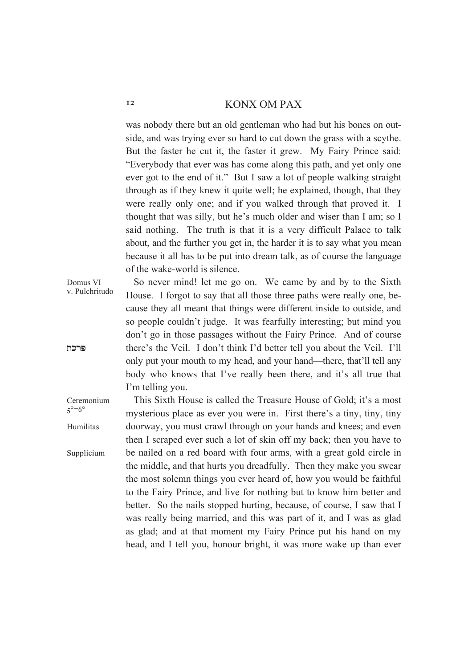was nobody there but an old gentleman who had but his bones on outside, and was trying ever so hard to cut down the grass with a scythe. But the faster he cut it, the faster it grew. My Fairy Prince said: "Everybody that ever was has come along this path, and yet only one ever got to the end of it." But I saw a lot of people walking straight through as if they knew it quite well; he explained, though, that they were really only one; and if you walked through that proved it. I thought that was silly, but he's much older and wiser than I am; so I said nothing. The truth is that it is a very difficult Palace to talk about, and the further you get in, the harder it is to say what you mean because it all has to be put into dream talk, as of course the language of the wake-world is silence.

So never mind! let me go on. We came by and by to the Sixth House. I forgot to say that all those three paths were really one, because they all meant that things were different inside to outside, and so people couldn't judge. It was fearfully interesting; but mind you don't go in those passages without the Fairy Prince. And of course there's the Veil. I don't think I'd better tell you about the Veil. I'll only put your mouth to my head, and your hand—there, that'll tell any body who knows that I've really been there, and it's all true that I'm telling you.

This Sixth House is called the Treasure House of Gold: it's a most mysterious place as ever you were in. First there's a tiny, tiny, tiny doorway, you must crawl through on your hands and knees; and even then I scraped ever such a lot of skin off my back; then you have to be nailed on a red board with four arms, with a great gold circle in the middle, and that hurts you dreadfully. Then they make you swear the most solemn things you ever heard of, how you would be faithful to the Fairy Prince, and live for nothing but to know him better and better. So the nails stopped hurting, because, of course, I saw that I was really being married, and this was part of it, and I was as glad as glad; and at that moment my Fairy Prince put his hand on my head, and I tell you, honour bright, it was more wake up than ever

Domus VI v. Pulchritudo

פרכת

Ceremonium  $5^\circ=6^\circ$ 

Humilitas

Supplicium

 $\overline{12}$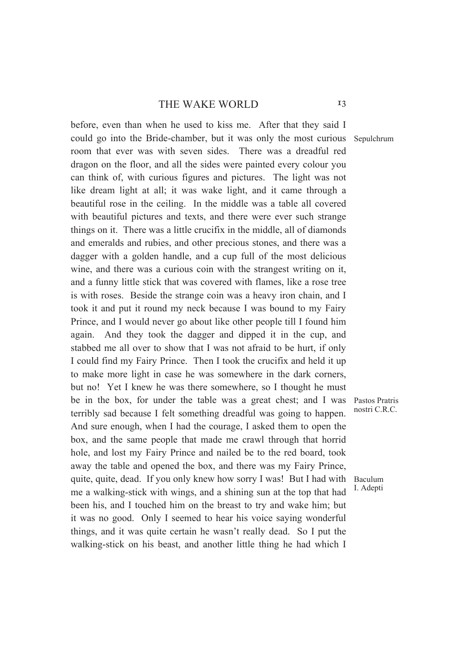before, even than when he used to kiss me. After that they said I could go into the Bride-chamber, but it was only the most curious Sepulchrum room that ever was with seven sides. There was a dreadful red dragon on the floor, and all the sides were painted every colour you can think of, with curious figures and pictures. The light was not like dream light at all; it was wake light, and it came through a beautiful rose in the ceiling. In the middle was a table all covered with beautiful pictures and texts, and there were ever such strange things on it. There was a little crucifix in the middle, all of diamonds and emeralds and rubies, and other precious stones, and there was a dagger with a golden handle, and a cup full of the most delicious wine, and there was a curious coin with the strangest writing on it, and a funny little stick that was covered with flames, like a rose tree is with roses. Beside the strange coin was a heavy iron chain, and I took it and put it round my neck because I was bound to my Fairy Prince, and I would never go about like other people till I found him again. And they took the dagger and dipped it in the cup, and stabbed me all over to show that I was not afraid to be hurt, if only I could find my Fairy Prince. Then I took the crucifix and held it up to make more light in case he was somewhere in the dark corners, but no! Yet I knew he was there somewhere, so I thought he must be in the box, for under the table was a great chest; and I was terribly sad because I felt something dreadful was going to happen. And sure enough, when I had the courage, I asked them to open the box, and the same people that made me crawl through that horrid hole, and lost my Fairy Prince and nailed be to the red board, took away the table and opened the box, and there was my Fairy Prince, quite, quite, dead. If you only knew how sorry I was! But I had with me a walking-stick with wings, and a shining sun at the top that had been his, and I touched him on the breast to try and wake him; but it was no good. Only I seemed to hear his voice saying wonderful things, and it was quite certain he wasn't really dead. So I put the walking-stick on his beast, and another little thing he had which I

**I3** 

Pastos Pratris nostri C.R.C.

Baculum I. Adepti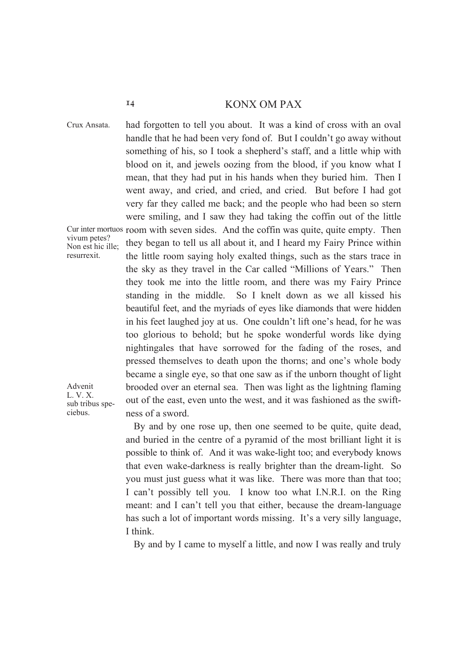Crux Ansata. had forgotten to tell you about. It was a kind of cross with an oval handle that he had been very fond of. But I couldn't go away without something of his, so I took a shepherd's staff, and a little whip with blood on it, and jewels oozing from the blood, if you know what I mean, that they had put in his hands when they buried him. Then I went away, and cried, and cried, and cried. But before I had got very far they called me back; and the people who had been so stern were smiling, and I saw they had taking the coffin out of the little Cur inter mortuos room with seven sides. And the coffin was quite, quite empty. Then they began to tell us all about it, and I heard my Fairy Prince within resurrexit. the little room saying holy exalted things, such as the stars trace in the sky as they travel in the Car called "Millions of Years." Then they took me into the little room, and there was my Fairy Prince standing in the middle. So I knelt down as we all kissed his beautiful feet, and the myriads of eyes like diamonds that were hidden in his feet laughed joy at us. One couldn't lift one's head, for he was too glorious to behold; but he spoke wonderful words like dying nightingales that have sorrowed for the fading of the roses, and pressed themselves to death upon the thorns; and one's whole body became a single eye, so that one saw as if the unborn thought of light Advenit brooded over an eternal sea. Then was light as the lightning flaming out of the east, even unto the west, and it was fashioned as the swiftness of a sword

> By and by one rose up, then one seemed to be quite, quite dead, and buried in the centre of a pyramid of the most brilliant light it is possible to think of. And it was wake-light too; and everybody knows that even wake-darkness is really brighter than the dream-light. So you must just guess what it was like. There was more than that too; I can't possibly tell you. I know too what I.N.R.I. on the Ring meant: and I can't tell you that either, because the dream-language has such a lot of important words missing. It's a very silly language, I think.

By and by I came to myself a little, and now I was really and truly

**I4** 

vivum petes? Non est hic ille;

L. V. X. sub tribus speciebus.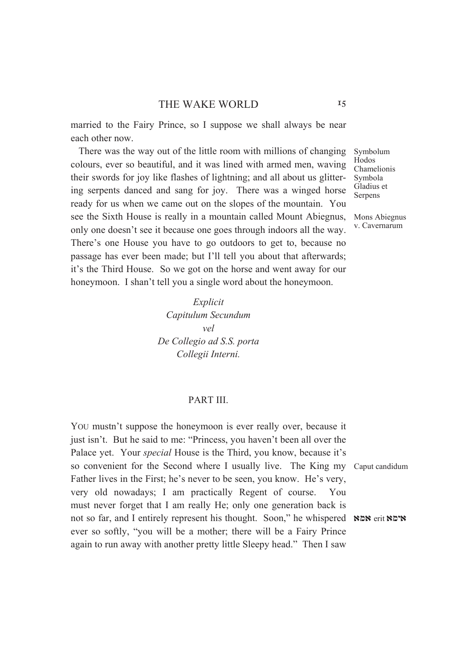married to the Fairy Prince, so I suppose we shall always be near each other now

There was the way out of the little room with millions of changing colours, ever so beautiful, and it was lined with armed men, waving their swords for joy like flashes of lightning; and all about us glittering serpents danced and sang for joy. There was a winged horse ready for us when we came out on the slopes of the mountain. You see the Sixth House is really in a mountain called Mount Abiegnus, only one doesn't see it because one goes through indoors all the way. There's one House you have to go outdoors to get to, because no passage has ever been made; but I'll tell you about that afterwards; it's the Third House. So we got on the horse and went away for our honeymoon. I shan't tell you a single word about the honeymoon.

> Explicit Capitulum Secundum  $v$ *el* De Collegio ad S.S. porta Collegii Interni.

#### PART III

You mustn't suppose the honeymoon is ever really over, because it just isn't. But he said to me: "Princess, you haven't been all over the Palace yet. Your *special* House is the Third, you know, because it's so convenient for the Second where I usually live. The King my Caput candidum Father lives in the First; he's never to be seen, you know. He's very, very old nowadays; I am practically Regent of course. You must never forget that I am really He; only one generation back is not so far, and I entirely represent his thought. Soon," he whispered NON erit NOW ever so softly, "you will be a mother; there will be a Fairy Prince again to run away with another pretty little Sleepy head." Then I saw

Symbolum Hodos Chamelionis Symbola Gladius et Serpens

Mons Abiegnus v. Cavernarum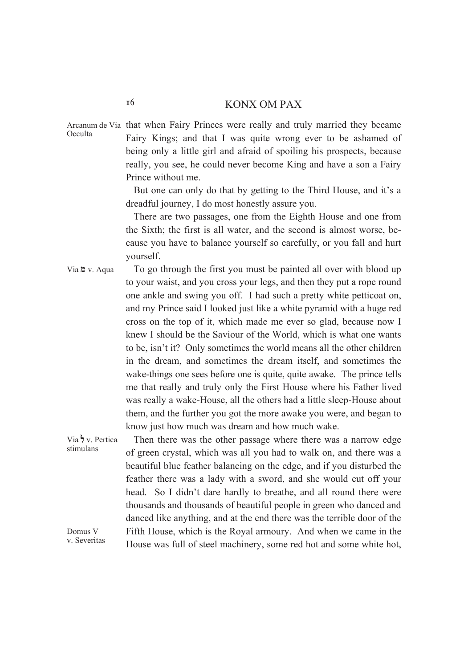Arcanum de Via that when Fairy Princes were really and truly married they became Occulta Fairy Kings; and that I was quite wrong ever to be ashamed of being only a little girl and afraid of spoiling his prospects, because really, you see, he could never become King and have a son a Fairy Prince without me.

> But one can only do that by getting to the Third House, and it's a dreadful journey, I do most honestly assure you.

> There are two passages, one from the Eighth House and one from the Sixth; the first is all water, and the second is almost worse, because you have to balance yourself so carefully, or you fall and hurt vourself.

Via **D** v. Aqua

To go through the first you must be painted all over with blood up to your waist, and you cross your legs, and then they put a rope round one ankle and swing you off. I had such a pretty white petticoat on. and my Prince said I looked just like a white pyramid with a huge red cross on the top of it, which made me ever so glad, because now I knew I should be the Saviour of the World, which is what one wants to be, isn't it? Only sometimes the world means all the other children in the dream, and sometimes the dream itself, and sometimes the wake-things one sees before one is quite, quite awake. The prince tells me that really and truly only the First House where his Father lived was really a wake-House, all the others had a little sleep-House about them, and the further you got the more awake you were, and began to know just how much was dream and how much wake.

Via  $\frac{1}{2}$  v Pertica Then there was the other passage where there was a narrow edge stimulans of green crystal, which was all you had to walk on, and there was a beautiful blue feather balancing on the edge, and if you disturbed the feather there was a lady with a sword, and she would cut off your head. So I didn't dare hardly to breathe, and all round there were thousands and thousands of beautiful people in green who danced and danced like anything, and at the end there was the terrible door of the Domus V Fifth House, which is the Royal armoury. And when we came in the v. Severitas House was full of steel machinery, some red hot and some white hot,

**16**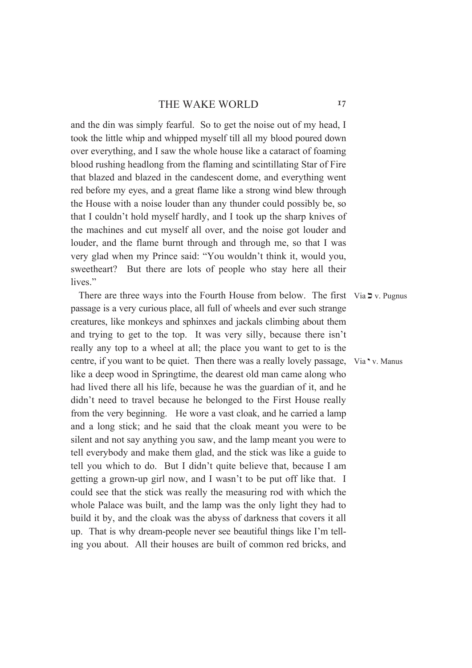and the din was simply fearful. So to get the noise out of my head, I took the little whip and whipped myself till all my blood poured down over everything, and I saw the whole house like a cataract of foaming blood rushing headlong from the flaming and scintillating Star of Fire that blazed and blazed in the candescent dome, and everything went red before my eyes, and a great flame like a strong wind blew through the House with a noise louder than any thunder could possibly be, so that I couldn't hold myself hardly, and I took up the sharp knives of the machines and cut myself all over, and the noise got louder and louder, and the flame burnt through and through me, so that I was very glad when my Prince said: "You wouldn't think it, would you, But there are lots of people who stay here all their sweetheart? lives."

There are three ways into the Fourth House from below. The first Via  $\triangleright$  v. Pugnus passage is a very curious place, all full of wheels and ever such strange creatures, like monkeys and sphinxes and jackals climbing about them and trying to get to the top. It was very silly, because there isn't really any top to a wheel at all; the place you want to get to is the centre, if you want to be quiet. Then there was a really lovely passage, Via 'v. Manus like a deep wood in Springtime, the dearest old man came along who had lived there all his life, because he was the guardian of it, and he didn't need to travel because he belonged to the First House really from the very beginning. He wore a vast cloak, and he carried a lamp and a long stick; and he said that the cloak meant you were to be silent and not say anything you saw, and the lamp meant you were to tell everybody and make them glad, and the stick was like a guide to tell you which to do. But I didn't quite believe that, because I am getting a grown-up girl now, and I wasn't to be put off like that. I could see that the stick was really the measuring rod with which the whole Palace was built, and the lamp was the only light they had to build it by, and the cloak was the abyss of darkness that covers it all up. That is why dream-people never see beautiful things like I'm telling you about. All their houses are built of common red bricks, and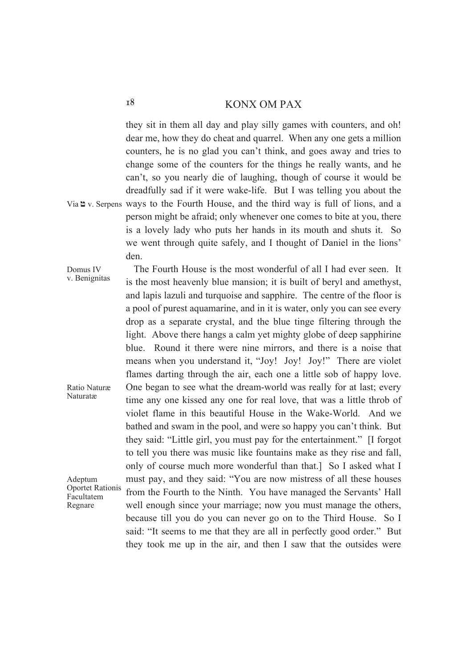they sit in them all day and play silly games with counters, and oh! dear me, how they do cheat and quarrel. When any one gets a million counters, he is no glad you can't think, and goes away and tries to change some of the counters for the things he really wants, and he can't, so you nearly die of laughing, though of course it would be dreadfully sad if it were wake-life. But I was telling you about the Via Dv. Serpens ways to the Fourth House, and the third way is full of lions, and a person might be afraid; only whenever one comes to bite at you, there is a lovely lady who puts her hands in its mouth and shuts it. So we went through quite safely, and I thought of Daniel in the lions' den.

The Fourth House is the most wonderful of all I had ever seen. It Domus IV v. Benignitas is the most heavenly blue mansion; it is built of beryl and amethyst, and lapis lazuli and turquoise and sapphire. The centre of the floor is a pool of purest aquamarine, and in it is water, only you can see every drop as a separate crystal, and the blue tinge filtering through the light. Above there hangs a calm yet mighty globe of deep sapphirine blue. Round it there were nine mirrors, and there is a noise that means when you understand it, "Joy! Joy! Joy!" There are violet flames darting through the air, each one a little sob of happy love. One began to see what the dream-world was really for at last; every Ratio Naturæ Naturatæ time any one kissed any one for real love, that was a little throb of violet flame in this beautiful House in the Wake-World And we bathed and swam in the pool, and were so happy you can't think. But they said: "Little girl, you must pay for the entertainment." If forgot to tell you there was music like fountains make as they rise and fall, only of course much more wonderful than that.] So I asked what I must pay, and they said: "You are now mistress of all these houses Adeptum Oportet Rationis from the Fourth to the Ninth. You have managed the Servants' Hall Facultatem well enough since your marriage; now you must manage the others, Regnare because till you do you can never go on to the Third House. So I said: "It seems to me that they are all in perfectly good order." But they took me up in the air, and then I saw that the outsides were

**18**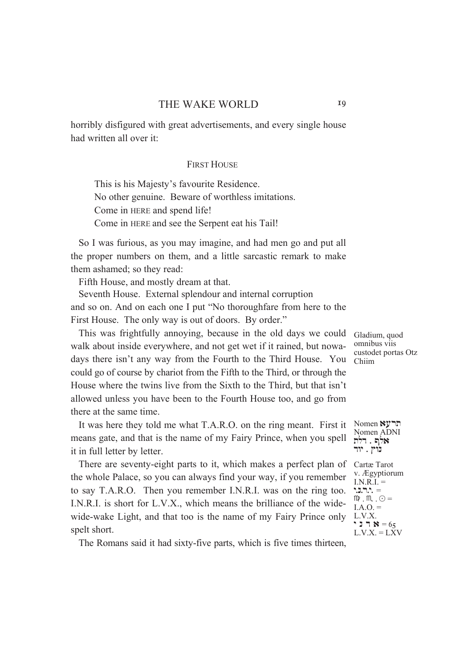horribly disfigured with great advertisements, and every single house had written all over it:

#### **FIRST HOUSE**

This is his Majesty's favourite Residence. No other genuine. Beware of worthless imitations. Come in HERE and spend life! Come in HERE and see the Serpent eat his Tail!

So I was furious, as you may imagine, and had men go and put all the proper numbers on them, and a little sarcastic remark to make them ashamed; so they read:

Fifth House, and mostly dream at that.

Seventh House. External splendour and internal corruption and so on. And on each one I put "No thoroughfare from here to the First House. The only way is out of doors. By order."

This was frightfully annoying, because in the old days we could walk about inside everywhere, and not get wet if it rained, but nowadays there isn't any way from the Fourth to the Third House. You Chijm could go of course by chariot from the Fifth to the Third, or through the House where the twins live from the Sixth to the Third, but that isn't allowed unless you have been to the Fourth House too, and go from there at the same time.

It was here they told me what T.A.R.O. on the ring meant. First it means gate, and that is the name of my Fairy Prince, when you spell it in full letter by letter.

There are seventy-eight parts to it, which makes a perfect plan of Cartae Tarot the whole Palace, so you can always find your way, if you remember to say T.A.R.O. Then you remember I.N.R.I. was on the ring too. I.N.R.I. is short for L.V.X., which means the brilliance of the widewide-wake Light, and that too is the name of my Fairy Prince only spelt short.

The Romans said it had sixty-five parts, which is five times thirteen,

Gladium, quod omnibus viis custodet portas Otz

Nomen **אי** Nomen ADNI אלף . דלת לוץ . יוד

v. Ægyptiorum  $I.N.R.I. =$  $.5.7.2 =$  $m \cdot m \cdot \odot =$  $I.A.O. =$ L.V.X.  $575 = 65$  $L.V.X. = LXV$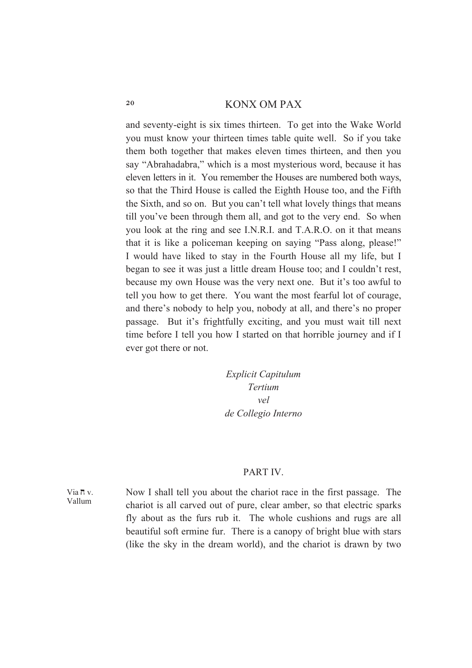and seventy-eight is six times thirteen. To get into the Wake World you must know your thirteen times table quite well. So if you take them both together that makes eleven times thirteen, and then you say "Abrahadabra," which is a most mysterious word, because it has eleven letters in it. You remember the Houses are numbered both ways, so that the Third House is called the Eighth House too, and the Fifth the Sixth, and so on. But you can't tell what lovely things that means till you've been through them all, and got to the very end. So when you look at the ring and see I.N.R.I. and T.A.R.O. on it that means that it is like a policeman keeping on saying "Pass along, please!" I would have liked to stay in the Fourth House all my life, but I began to see it was just a little dream House too; and I couldn't rest, because my own House was the very next one. But it's too awful to tell you how to get there. You want the most fearful lot of courage, and there's nobody to help you, nobody at all, and there's no proper passage. But it's frightfully exciting, and you must wait till next time before I tell you how I started on that horrible journey and if I ever got there or not.

> **Explicit Capitulum** Tertium vel de Collegio Interno

#### PART IV

Now I shall tell you about the chariot race in the first passage. The Via  $\overline{\mathbb{L}}$  v. Vallum chariot is all carved out of pure, clear amber, so that electric sparks fly about as the furs rub it. The whole cushions and rugs are all beautiful soft ermine fur. There is a canopy of bright blue with stars (like the sky in the dream world), and the chariot is drawn by two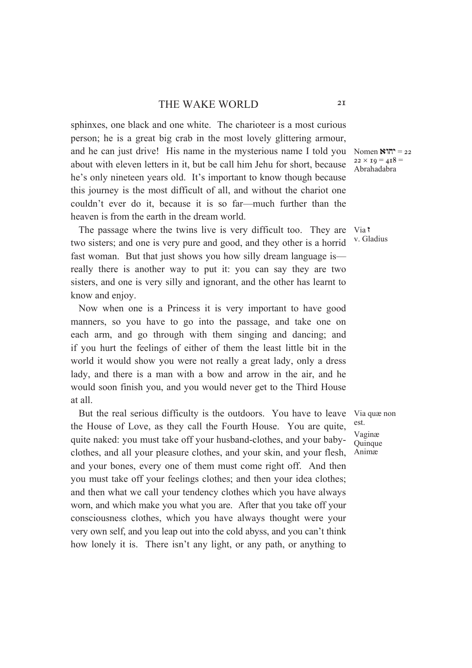sphinxes, one black and one white. The charioteer is a most curious person; he is a great big crab in the most lovely glittering armour, and he can just drive! His name in the mysterious name I told you about with eleven letters in it, but be call him Jehu for short, because he's only nineteen years old. It's important to know though because this journey is the most difficult of all, and without the chariot one couldn't ever do it, because it is so far—much further than the heaven is from the earth in the dream world.

The passage where the twins live is very difficult too. They are two sisters; and one is very pure and good, and they other is a horrid fast woman. But that just shows you how silly dream language is really there is another way to put it: you can say they are two sisters, and one is very silly and ignorant, and the other has learnt to know and enjoy.

Now when one is a Princess it is very important to have good manners, so you have to go into the passage, and take one on each arm, and go through with them singing and dancing; and if you hurt the feelings of either of them the least little bit in the world it would show you were not really a great lady, only a dress lady, and there is a man with a bow and arrow in the air, and he would soon finish you, and you would never get to the Third House at all

But the real serious difficulty is the outdoors. You have to leave the House of Love, as they call the Fourth House. You are quite, quite naked: you must take off your husband-clothes, and your babyclothes, and all your pleasure clothes, and your skin, and your flesh, and your bones, every one of them must come right off. And then you must take off your feelings clothes; and then your idea clothes; and then what we call your tendency clothes which you have always worn, and which make you what you are. After that you take off your consciousness clothes, which you have always thought were your very own self, and you leap out into the cold abyss, and you can't think how lonely it is. There isn't any light, or any path, or anything to

Nomen **א'הוא** = 22  $22 \times 10 = 418 =$ Abrahadabra

Via t v. Gladius

Via quæ non est. Vaginæ Ouinque Animæ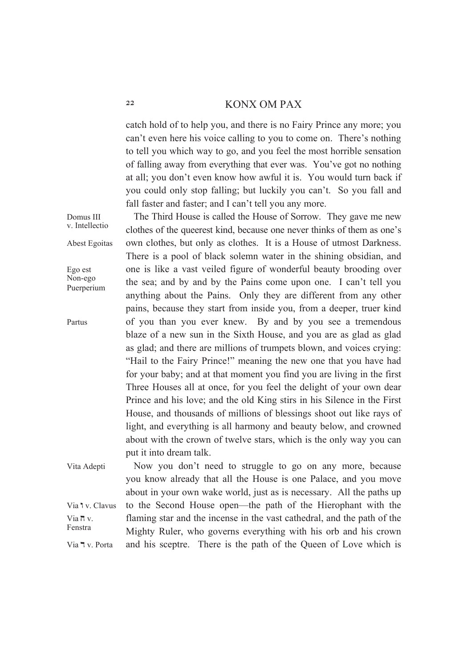catch hold of to help you, and there is no Fairy Prince any more; you can't even here his voice calling to you to come on. There's nothing to tell you which way to go, and you feel the most horrible sensation of falling away from everything that ever was. You've got no nothing at all; you don't even know how awful it is. You would turn back if you could only stop falling; but luckily you can't. So you fall and fall faster and faster; and I can't tell you any more.

The Third House is called the House of Sorrow. They gave me new Domus III v. Intellectio clothes of the queerest kind, because one never thinks of them as one's own clothes, but only as clothes. It is a House of utmost Darkness. Abest Egoitas There is a pool of black solemn water in the shining obsidian, and one is like a vast veiled figure of wonderful beauty brooding over Ego est Non-ego the sea; and by and by the Pains come upon one. I can't tell you Puerperium anything about the Pains. Only they are different from any other pains, because they start from inside you, from a deeper, truer kind of you than you ever knew. By and by you see a tremendous blaze of a new sun in the Sixth House, and you are as glad as glad as glad; and there are millions of trumpets blown, and voices crying: "Hail to the Fairy Prince!" meaning the new one that you have had for your baby; and at that moment you find you are living in the first Three Houses all at once, for you feel the delight of your own dear Prince and his love; and the old King stirs in his Silence in the First House, and thousands of millions of blessings shoot out like rays of light, and everything is all harmony and beauty below, and crowned about with the crown of twelve stars, which is the only way you can put it into dream talk. Vita Adepti Now you don't need to struggle to go on any more, because

you know already that all the House is one Palace, and you move about in your own wake world, just as is necessary. All the paths up Via 1 v. Clavus to the Second House open—the path of the Hierophant with the flaming star and the incense in the vast cathedral, and the path of the Via  $\overline{\mathbf{u}}$  v. Fenstra Mighty Ruler, who governs everything with his orb and his crown Via 7 v. Porta and his sceptre. There is the path of the Queen of Love which is

 $22$ 

Partus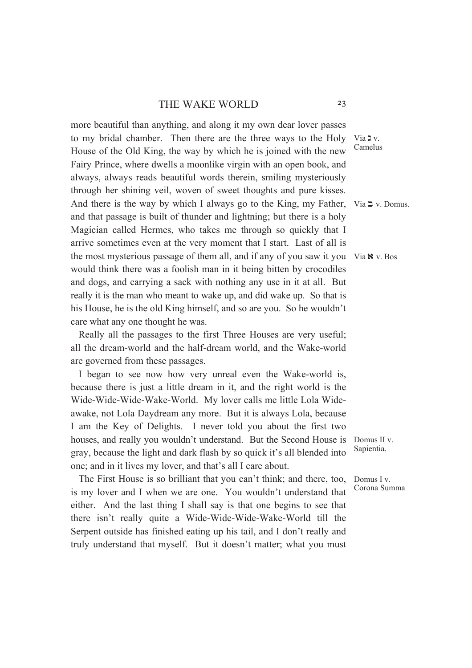more beautiful than anything, and along it my own dear lover passes to my bridal chamber. Then there are the three ways to the Holy House of the Old King, the way by which he is joined with the new Fairy Prince, where dwells a moonlike virgin with an open book, and always, always reads beautiful words therein, smiling mysteriously through her shining veil, woven of sweet thoughts and pure kisses. And there is the way by which I always go to the King, my Father, Via  $\geq$  v. Domus. and that passage is built of thunder and lightning; but there is a holy Magician called Hermes, who takes me through so quickly that I arrive sometimes even at the very moment that I start. Last of all is the most mysterious passage of them all, and if any of you saw it you Via  $\mathbf{\hat{s}}$  v. Bos would think there was a foolish man in it being bitten by crocodiles and dogs, and carrying a sack with nothing any use in it at all. But really it is the man who meant to wake up, and did wake up. So that is his House, he is the old King himself, and so are you. So he wouldn't care what any one thought he was.

Really all the passages to the first Three Houses are very useful; all the dream-world and the half-dream world, and the Wake-world are governed from these passages.

I began to see now how very unreal even the Wake-world is, because there is just a little dream in it, and the right world is the Wide-Wide-Wide-Wake-World. My lover calls me little Lola Wideawake, not Lola Daydream any more. But it is always Lola, because I am the Key of Delights. I never told you about the first two houses, and really you wouldn't understand. But the Second House is gray, because the light and dark flash by so quick it's all blended into one; and in it lives my lover, and that's all I care about.

The First House is so brilliant that you can't think; and there, too, is my lover and I when we are one. You wouldn't understand that either. And the last thing I shall say is that one begins to see that there isn't really quite a Wide-Wide-Wide-Wake-World till the Serpent outside has finished eating up his tail, and I don't really and truly understand that myself. But it doesn't matter; what you must

Via  $1v$ . Camelus

Domus II v. Sapientia.

Domus I v. Corona Summa

23